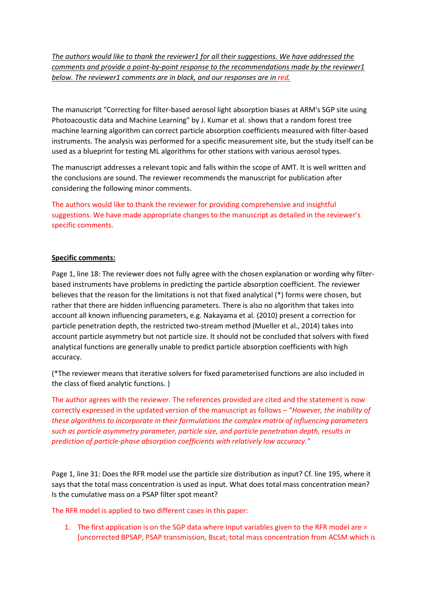*The authors would like to thank the reviewer1 for all their suggestions. We have addressed the comments and provide a point-by-point response to the recommendations made by the reviewer1 below. The reviewer1 comments are in black, and our responses are in red.*

The manuscript "Correcting for filter-based aerosol light absorption biases at ARM's SGP site using Photoacoustic data and Machine Learning" by J. Kumar et al. shows that a random forest tree machine learning algorithm can correct particle absorption coefficients measured with filter-based instruments. The analysis was performed for a specific measurement site, but the study itself can be used as a blueprint for testing ML algorithms for other stations with various aerosol types.

The manuscript addresses a relevant topic and falls within the scope of AMT. It is well written and the conclusions are sound. The reviewer recommends the manuscript for publication after considering the following minor comments.

The authors would like to thank the reviewer for providing comprehensive and insightful suggestions. We have made appropriate changes to the manuscript as detailed in the reviewer's specific comments.

## **Specific comments:**

Page 1, line 18: The reviewer does not fully agree with the chosen explanation or wording why filterbased instruments have problems in predicting the particle absorption coefficient. The reviewer believes that the reason for the limitations is not that fixed analytical (\*) forms were chosen, but rather that there are hidden influencing parameters. There is also no algorithm that takes into account all known influencing parameters, e.g. Nakayama et al. (2010) present a correction for particle penetration depth, the restricted two-stream method (Mueller et al., 2014) takes into account particle asymmetry but not particle size. It should not be concluded that solvers with fixed analytical functions are generally unable to predict particle absorption coefficients with high accuracy.

(\*The reviewer means that iterative solvers for fixed parameterised functions are also included in the class of fixed analytic functions. )

The author agrees with the reviewer. The references provided are cited and the statement is now correctly expressed in the updated version of the manuscript as follows – "*However, the inability of these algorithms to incorporate in their formulations the complex matrix of influencing parameters such as particle asymmetry parameter, particle size, and particle penetration depth, results in prediction of particle-phase absorption coefficients with relatively low accuracy."*

Page 1, line 31: Does the RFR model use the particle size distribution as input? Cf. line 195, where it says that the total mass concentration is used as input. What does total mass concentration mean? Is the cumulative mass on a PSAP filter spot meant?

The RFR model is applied to two different cases in this paper:

1. The first application is on the SGP data where Input variables given to the RFR model are = [uncorrected BPSAP, PSAP transmission, Bscat, total mass concentration from ACSM which is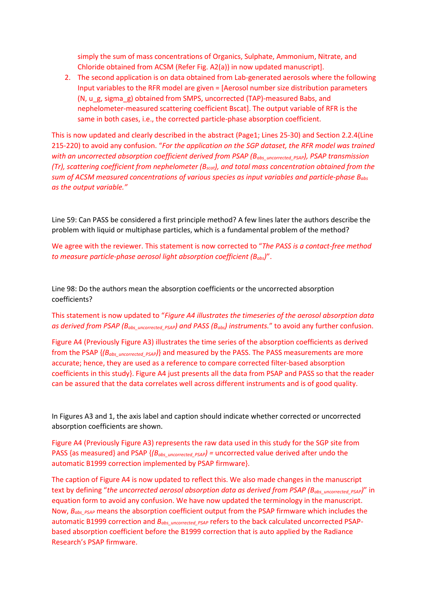simply the sum of mass concentrations of Organics, Sulphate, Ammonium, Nitrate, and Chloride obtained from ACSM (Refer Fig. A2(a)) in now updated manuscript].

2. The second application is on data obtained from Lab-generated aerosols where the following Input variables to the RFR model are given = [Aerosol number size distribution parameters (N, u\_g, sigma\_g) obtained from SMPS, uncorrected (TAP)-measured Babs, and nephelometer-measured scattering coefficient Bscat]. The output variable of RFR is the same in both cases, i.e., the corrected particle-phase absorption coefficient.

This is now updated and clearly described in the abstract (Page1; Lines 25-30) and Section 2.2.4(Line 215-220) to avoid any confusion. "*For the application on the SGP dataset, the RFR model was trained*  with an uncorrected absorption coefficient derived from PSAP (B<sub>abs\_uncorrected\_PSAP</sub>), PSAP transmission *(Tr), scattering coefficient from nephelometer (Bscat), and total mass concentration obtained from the sum of ACSM measured concentrations of various species as input variables and particle-phase Babs as the output variable."*

Line 59: Can PASS be considered a first principle method? A few lines later the authors describe the problem with liquid or multiphase particles, which is a fundamental problem of the method?

We agree with the reviewer. This statement is now corrected to "*The PASS is a contact-free method to measure particle-phase aerosol light absorption coefficient (Babs)*".

Line 98: Do the authors mean the absorption coefficients or the uncorrected absorption coefficients?

## This statement is now updated to "*Figure A4 illustrates the timeseries of the aerosol absorption data*  as derived from PSAP (B<sub>abs uncorrected PSAP</sub>) and PASS (B<sub>abs</sub>) instruments." to avoid any further confusion.

Figure A4 (Previously Figure A3) illustrates the time series of the absorption coefficients as derived from the PSAP {*(Babs\_uncorrected\_PSAP)*} and measured by the PASS. The PASS measurements are more accurate; hence, they are used as a reference to compare corrected filter-based absorption coefficients in this study}. Figure A4 just presents all the data from PSAP and PASS so that the reader can be assured that the data correlates well across different instruments and is of good quality.

In Figures A3 and 1, the axis label and caption should indicate whether corrected or uncorrected absorption coefficients are shown.

Figure A4 (Previously Figure A3) represents the raw data used in this study for the SGP site from PASS {as measured} and PSAP {*(Babs\_uncorrected\_PSAP) =* uncorrected value derived after undo the automatic B1999 correction implemented by PSAP firmware}.

The caption of Figure A4 is now updated to reflect this. We also made changes in the manuscript text by defining "the uncorrected aerosol absorption data as derived from PSAP (B<sub>abs uncorrected PSAP)</sub>" in equation form to avoid any confusion. We have now updated the terminology in the manuscript. Now,  $B_{obs}$  <sub>*PSAP*</sub> means the absorption coefficient output from the PSAP firmware which includes the automatic B1999 correction and  $B_{abs\_uncorrected PSAP}$  refers to the back calculated uncorrected PSAPbased absorption coefficient before the B1999 correction that is auto applied by the Radiance Research's PSAP firmware.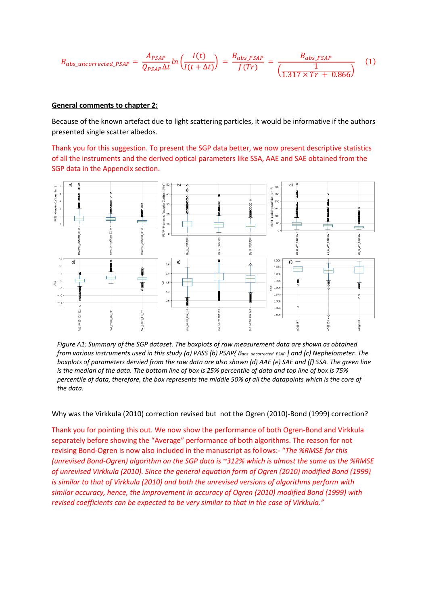$$
B_{abs\_uncorrected\_PSAP} = \frac{A_{PSAP}}{Q_{PSAP}\Delta t} \ln \left( \frac{I(t)}{I(t+\Delta t)} \right) = \frac{B_{abs\_PSAP}}{f(Tr)} = \frac{B_{abs\_PSAP}}{\left( \frac{1}{1.317 \times Tr + 0.866} \right)} \tag{1}
$$

## **General comments to chapter 2:**

Because of the known artefact due to light scattering particles, it would be informative if the authors presented single scatter albedos.

Thank you for this suggestion. To present the SGP data better, we now present descriptive statistics of all the instruments and the derived optical parameters like SSA, AAE and SAE obtained from the SGP data in the Appendix section.



*Figure A1: Summary of the SGP dataset. The boxplots of raw measurement data are shown as obtained from various instruments used in this study (a) PASS (b) PSAP{ Babs\_uncorrected\_PSAP } and (c) Nephelometer. The boxplots of parameters dervied from the raw data are also shown (d) AAE (e) SAE and (f) SSA. The green line is the median of the data. The bottom line of box is 25% percentile of data and top line of box is 75% percentile of data, therefore, the box represents the middle 50% of all the datapoints which is the core of the data.*

Why was the Virkkula (2010) correction revised but not the Ogren (2010)-Bond (1999) correction?

Thank you for pointing this out. We now show the performance of both Ogren-Bond and Virkkula separately before showing the "Average" performance of both algorithms. The reason for not revising Bond-Ogren is now also included in the manuscript as follows:- "*The %RMSE for this (unrevised Bond-Ogren) algorithm on the SGP data is ~312% which is almost the same as the %RMSE of unrevised Virkkula (2010). Since the general equation form of Ogren (2010) modified Bond (1999) is similar to that of Virkkula (2010) and both the unrevised versions of algorithms perform with similar accuracy, hence, the improvement in accuracy of Ogren (2010) modified Bond (1999) with revised coefficients can be expected to be very similar to that in the case of Virkkula."*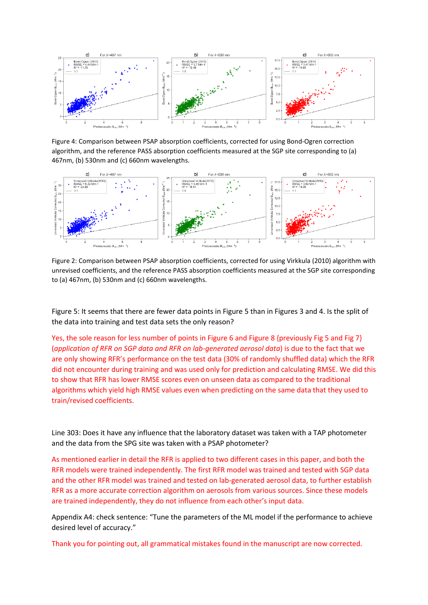

Figure 4: Comparison between PSAP absorption coefficients, corrected for using Bond-Ogren correction algorithm, and the reference PASS absorption coefficients measured at the SGP site corresponding to (a) 467nm, (b) 530nm and (c) 660nm wavelengths.



Figure 2: Comparison between PSAP absorption coefficients, corrected for using Virkkula (2010) algorithm with unrevised coefficients, and the reference PASS absorption coefficients measured at the SGP site corresponding to (a) 467nm, (b) 530nm and (c) 660nm wavelengths.

Figure 5: It seems that there are fewer data points in Figure 5 than in Figures 3 and 4. Is the split of the data into training and test data sets the only reason?

Yes, the sole reason for less number of points in Figure 6 and Figure 8 {previously Fig 5 and Fig 7} (*application of RFR on SGP data and RFR on lab-generated aerosol data*) is due to the fact that we are only showing RFR's performance on the test data (30% of randomly shuffled data) which the RFR did not encounter during training and was used only for prediction and calculating RMSE. We did this to show that RFR has lower RMSE scores even on unseen data as compared to the traditional algorithms which yield high RMSE values even when predicting on the same data that they used to train/revised coefficients.

Line 303: Does it have any influence that the laboratory dataset was taken with a TAP photometer and the data from the SPG site was taken with a PSAP photometer?

As mentioned earlier in detail the RFR is applied to two different cases in this paper, and both the RFR models were trained independently. The first RFR model was trained and tested with SGP data and the other RFR model was trained and tested on lab-generated aerosol data, to further establish RFR as a more accurate correction algorithm on aerosols from various sources. Since these models are trained independently, they do not influence from each other's input data.

Appendix A4: check sentence: "Tune the parameters of the ML model if the performance to achieve desired level of accuracy."

Thank you for pointing out, all grammatical mistakes found in the manuscript are now corrected.